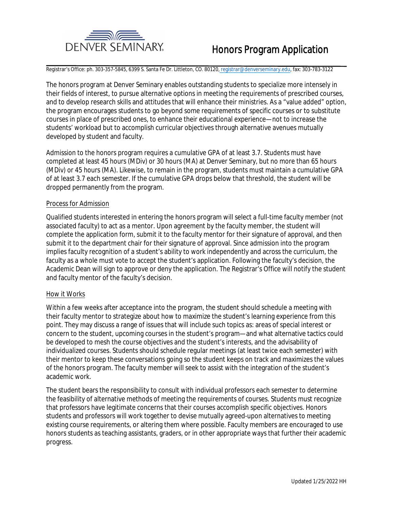

Registrar's Office: ph. 303-357-5845, 6399 S. Santa Fe Dr. Littleton, CO. 80120, registrar@denverseminary.edu, fax: 303-783-3122

The honors program at Denver Seminary enables outstanding students to specialize more intensely in their fields of interest, to pursue alternative options in meeting the requirements of prescribed courses, and to develop research skills and attitudes that will enhance their ministries. As a "value added" option, the program encourages students to go beyond some requirements of specific courses or to substitute courses in place of prescribed ones, to enhance their educational experience—not to increase the students' workload but to accomplish curricular objectives through alternative avenues mutually developed by student and faculty.

Admission to the honors program requires a cumulative GPA of at least 3.7. Students must have completed at least 45 hours (MDiv) or 30 hours (MA) at Denver Seminary, but no more than 65 hours (MDiv) or 45 hours (MA). Likewise, to remain in the program, students must maintain a cumulative GPA of at least 3.7 each semester. If the cumulative GPA drops below that threshold, the student will be dropped permanently from the program.

### **Process for Admission**

Qualified students interested in entering the honors program will select a full-time faculty member (not associated faculty) to act as a mentor. Upon agreement by the faculty member, the student will complete the application form, submit it to the faculty mentor for their signature of approval, and then submit it to the department chair for their signature of approval. Since admission into the program implies faculty recognition of a student's ability to work independently and across the curriculum, the faculty as a whole must vote to accept the student's application. Following the faculty's decision, the Academic Dean will sign to approve or deny the application. The Registrar's Office will notify the student and faculty mentor of the faculty's decision.

# **How it Works**

Within a few weeks after acceptance into the program, the student should schedule a meeting with their faculty mentor to strategize about how to maximize the student's learning experience from this point. They may discuss a range of issues that will include such topics as: areas of special interest or concern to the student, upcoming courses in the student's program—and what alternative tactics could be developed to mesh the course objectives and the student's interests, and the advisability of individualized courses. Students should schedule regular meetings (at least twice each semester) with their mentor to keep these conversations going so the student keeps on track and maximizes the values of the honors program. The faculty member will seek to assist with the integration of the student's academic work.

The student bears the responsibility to consult with individual professors each semester to determine the feasibility of alternative methods of meeting the requirements of courses. Students must recognize that professors have legitimate concerns that their courses accomplish specific objectives. Honors students and professors will work together to devise mutually agreed-upon alternatives to meeting existing course requirements, or altering them where possible. Faculty members are encouraged to use honors students as teaching assistants, graders, or in other appropriate ways that further their academic progress.